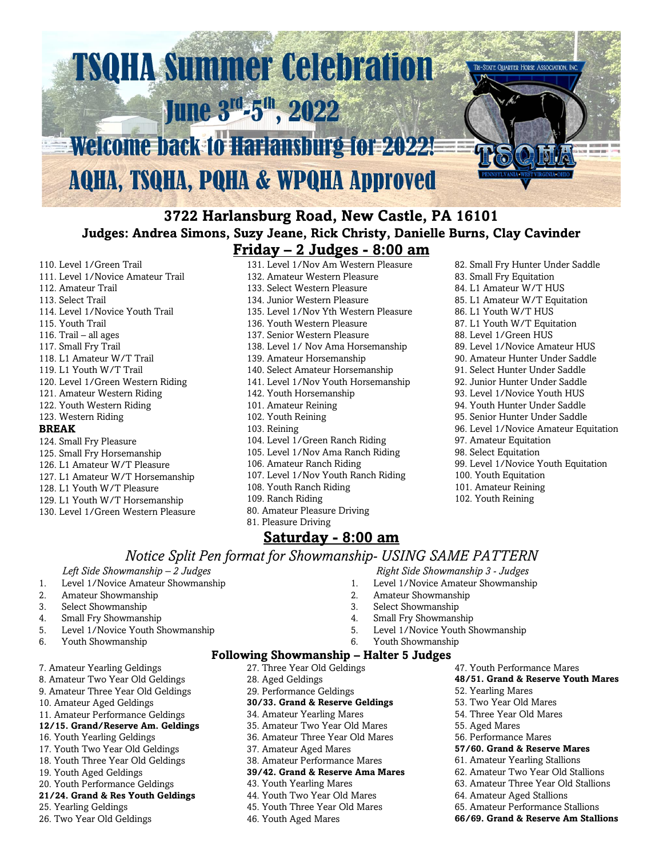

## **3722 Harlansburg Road, New Castle, PA 16101 Judges: Andrea Simons, Suzy Jeane, Rick Christy, Danielle Burns, Clay Cavinder**

## **Friday – 2 Judges - 8:00 am**

- 110. Level 1/Green Trail 111. Level 1/Novice Amateur Trail 112. Amateur Trail 113. Select Trail 114. Level 1/Novice Youth Trail 115. Youth Trail 116. Trail – all ages 117. Small Fry Trail 118. L1 Amateur W/T Trail 119. L1 Youth W/T Trail 120. Level 1/Green Western Riding 121. Amateur Western Riding 122. Youth Western Riding 123. Western Riding **BREAK**  124. Small Fry Pleasure 125. Small Fry Horsemanship 126. L1 Amateur W/T Pleasure 127. L1 Amateur W/T Horsemanship 128. L1 Youth W/T Pleasure 129. L1 Youth W/T Horsemanship 130. Level 1/Green Western Pleasure
- 131. Level 1/Nov Am Western Pleasure 132. Amateur Western Pleasure 133. Select Western Pleasure 134. Junior Western Pleasure 135. Level 1/Nov Yth Western Pleasure 136. Youth Western Pleasure 137. Senior Western Pleasure 138. Level 1/ Nov Ama Horsemanship 139. Amateur Horsemanship 140. Select Amateur Horsemanship 141. Level 1/Nov Youth Horsemanship 142. Youth Horsemanship 101. Amateur Reining 102. Youth Reining 103. Reining 104. Level 1/Green Ranch Riding 105. Level 1/Nov Ama Ranch Riding 106. Amateur Ranch Riding 107. Level 1/Nov Youth Ranch Riding 108. Youth Ranch Riding 109. Ranch Riding 80. Amateur Pleasure Driving 81. Pleasure Driving

## **Saturday - 8:00 am**

- 82. Small Fry Hunter Under Saddle 83. Small Fry Equitation 84. L1 Amateur W/T HUS 85. L1 Amateur W/T Equitation 86. L1 Youth W/T HUS 87. L1 Youth W/T Equitation 88. Level 1/Green HUS 89. Level 1/Novice Amateur HUS 90. Amateur Hunter Under Saddle 91. Select Hunter Under Saddle 92. Junior Hunter Under Saddle 93. Level 1/Novice Youth HUS 94. Youth Hunter Under Saddle 95. Senior Hunter Under Saddle 96. Level 1/Novice Amateur Equitation 97. Amateur Equitation 98. Select Equitation 99. Level 1/Novice Youth Equitation 100. Youth Equitation 101. Amateur Reining
- *Notice Split Pen format for Showmanship- USING SAME PATTERN*
	- *Right Side Showmanship 3 - Judges*
		- 1. Level 1/Novice Amateur Showmanship
		- 2. Amateur Showmanship
		- 3. Select Showmanship
		- 4. Small Fry Showmanship
		- 5. Level 1/Novice Youth Showmanship
	- 6. Youth Showmanship

#### **Following Showmanship – Halter 5 Judges** 27. Three Year Old Geldings

- 28. Aged Geldings
- 29. Performance Geldings
- **30/33. Grand & Reserve Geldings**
- 34. Amateur Yearling Mares
- 35. Amateur Two Year Old Mares
- 36. Amateur Three Year Old Mares
- 37. Amateur Aged Mares
- 38. Amateur Performance Mares
- **39/42. Grand & Reserve Ama Mares**
- 43. Youth Yearling Mares
- 44. Youth Two Year Old Mares
- 45. Youth Three Year Old Mares
- 46. Youth Aged Mares
- 47. Youth Performance Mares
- **48/51. Grand & Reserve Youth Mares**
- 52. Yearling Mares
- 53. Two Year Old Mares
- 54. Three Year Old Mares
- 55. Aged Mares
- 56. Performance Mares
- **57/60. Grand & Reserve Mares**
- 61. Amateur Yearling Stallions
- 62. Amateur Two Year Old Stallions
- 63. Amateur Three Year Old Stallions
- 64. Amateur Aged Stallions
- 65. Amateur Performance Stallions
- **66/69. Grand & Reserve Am Stallions**
- 
- *Left Side Showmanship – 2 Judges* 1. Level 1/Novice Amateur Showmanship
- 
- 2. Amateur Showmanship
- 3. Select Showmanship
- 4. Small Fry Showmanship
- 5. Level 1/Novice Youth Showmanship
- 6. Youth Showmanship

## 7. Amateur Yearling Geldings

- 8. Amateur Two Year Old Geldings
- 9. Amateur Three Year Old Geldings
- 10. Amateur Aged Geldings
- 11. Amateur Performance Geldings

#### **12/15. Grand/Reserve Am. Geldings**

- 16. Youth Yearling Geldings
- 17. Youth Two Year Old Geldings
- 18. Youth Three Year Old Geldings
- 19. Youth Aged Geldings
- 20. Youth Performance Geldings
- **21/24. Grand & Res Youth Geldings**
- 25. Yearling Geldings
- 26. Two Year Old Geldings
- 
- 102. Youth Reining
- 
-